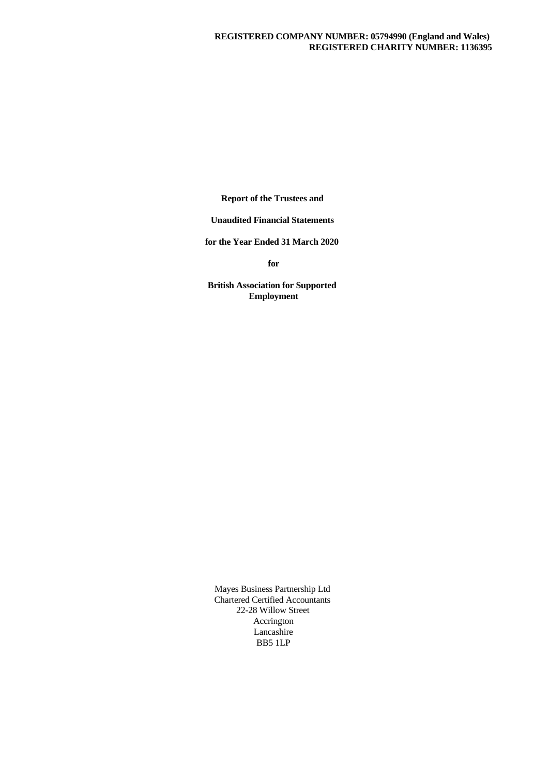**Report of the Trustees and**

**Unaudited Financial Statements**

**for the Year Ended 31 March 2020**

**for**

**British Association for Supported Employment**

Mayes Business Partnership Ltd Chartered Certified Accountants 22-28 Willow Street Accrington Lancashire BB5 1LP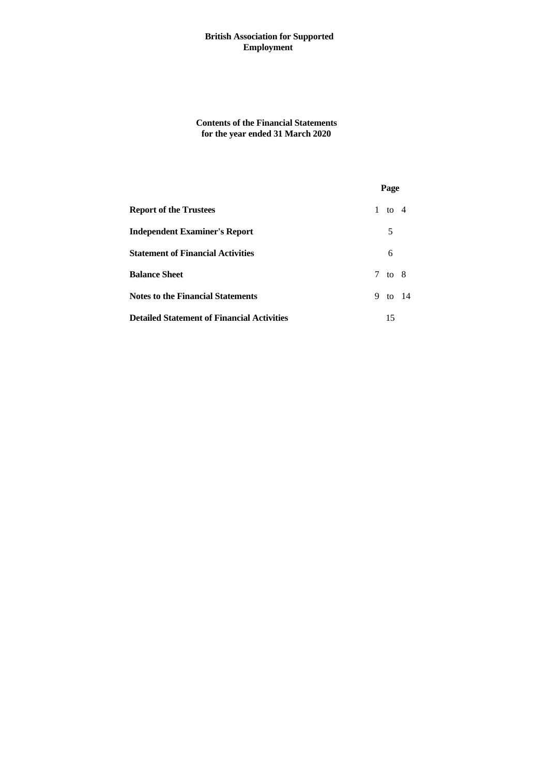**Contents of the Financial Statements for the year ended 31 March 2020**

|                                                   | Page    |  |
|---------------------------------------------------|---------|--|
| <b>Report of the Trustees</b>                     | 1 to 4  |  |
| <b>Independent Examiner's Report</b>              | 5       |  |
| <b>Statement of Financial Activities</b>          | 6       |  |
| <b>Balance Sheet</b>                              | 7 to 8  |  |
| <b>Notes to the Financial Statements</b>          | 9 to 14 |  |
| <b>Detailed Statement of Financial Activities</b> | 15      |  |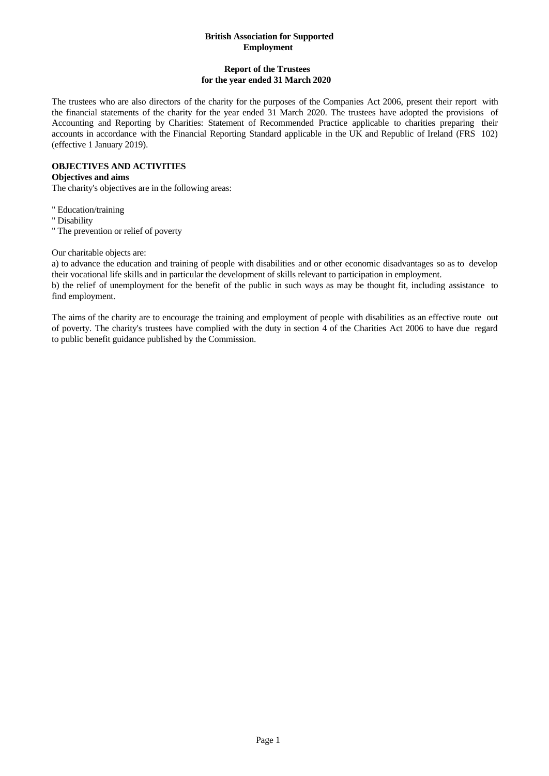# **Report of the Trustees for the year ended 31 March 2020**

The trustees who are also directors of the charity for the purposes of the Companies Act 2006, present their report with the financial statements of the charity for the year ended 31 March 2020. The trustees have adopted the provisions of Accounting and Reporting by Charities: Statement of Recommended Practice applicable to charities preparing their accounts in accordance with the Financial Reporting Standard applicable in the UK and Republic of Ireland (FRS 102) (effective 1 January 2019).

## **OBJECTIVES AND ACTIVITIES**

## **Objectives and aims**

The charity's objectives are in the following areas:

" Education/training

" Disability

" The prevention or relief of poverty

Our charitable objects are:

a) to advance the education and training of people with disabilities and or other economic disadvantages so as to develop their vocational life skills and in particular the development of skills relevant to participation in employment.

b) the relief of unemployment for the benefit of the public in such ways as may be thought fit, including assistance to find employment.

The aims of the charity are to encourage the training and employment of people with disabilities as an effective route out of poverty. The charity's trustees have complied with the duty in section 4 of the Charities Act 2006 to have due regard to public benefit guidance published by the Commission.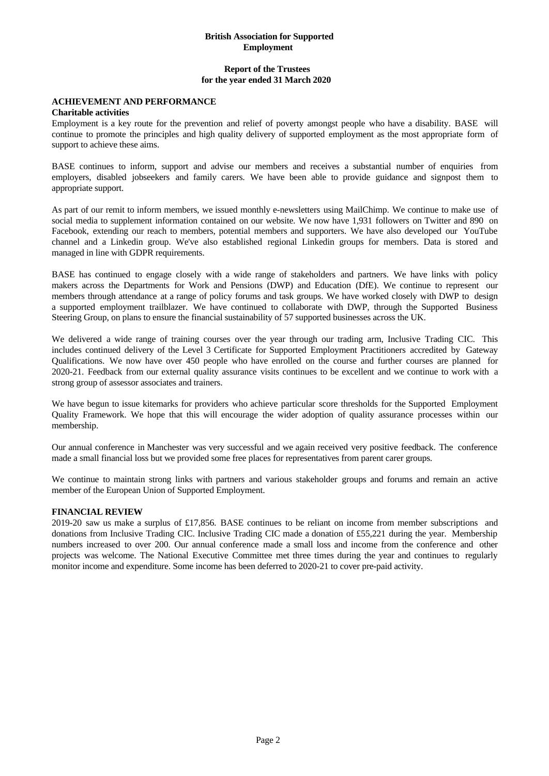#### **Report of the Trustees for the year ended 31 March 2020**

#### **ACHIEVEMENT AND PERFORMANCE**

#### **Charitable activities**

Employment is a key route for the prevention and relief of poverty amongst people who have a disability. BASE will continue to promote the principles and high quality delivery of supported employment as the most appropriate form of support to achieve these aims.

BASE continues to inform, support and advise our members and receives a substantial number of enquiries from employers, disabled jobseekers and family carers. We have been able to provide guidance and signpost them to appropriate support.

As part of our remit to inform members, we issued monthly e-newsletters using MailChimp. We continue to make use of social media to supplement information contained on our website. We now have 1,931 followers on Twitter and 890 on Facebook, extending our reach to members, potential members and supporters. We have also developed our YouTube channel and a Linkedin group. We've also established regional Linkedin groups for members. Data is stored and managed in line with GDPR requirements.

BASE has continued to engage closely with a wide range of stakeholders and partners. We have links with policy makers across the Departments for Work and Pensions (DWP) and Education (DfE). We continue to represent our members through attendance at a range of policy forums and task groups. We have worked closely with DWP to design a supported employment trailblazer. We have continued to collaborate with DWP, through the Supported Business Steering Group, on plans to ensure the financial sustainability of 57 supported businesses across the UK.

We delivered a wide range of training courses over the year through our trading arm, Inclusive Trading CIC. This includes continued delivery of the Level 3 Certificate for Supported Employment Practitioners accredited by Gateway Qualifications. We now have over450 people who have enrolled on the course and further courses are planned for 2020-21. Feedback from our external quality assurance visits continues to be excellent and we continue to work with a strong group of assessor associates and trainers.

We have begun to issue kitemarks for providers who achieve particular score thresholds for the Supported Employment Quality Framework. We hope that this will encourage the wider adoption of quality assurance processes within our membership.

Our annual conference in Manchester was very successful and we again received very positive feedback. The conference made a small financial loss but we provided some free places for representatives from parent carer groups.

We continue to maintain strong links with partners and various stakeholder groups and forums and remain an active member of the European Union of Supported Employment.

#### **FINANCIAL REVIEW**

2019-20 saw us make a surplus of £17,856. BASE continues to be reliant on income from member subscriptions and donations from Inclusive Trading CIC. Inclusive Trading CIC made a donation of £55,221 during the year. Membership numbers increased to over 200. Our annual conference made a small loss and income from the conference and other projects was welcome. The National Executive Committee met three times during the yearand continues to regularly monitor income and expenditure. Some income has been deferred to 2020-21 to cover pre-paid activity.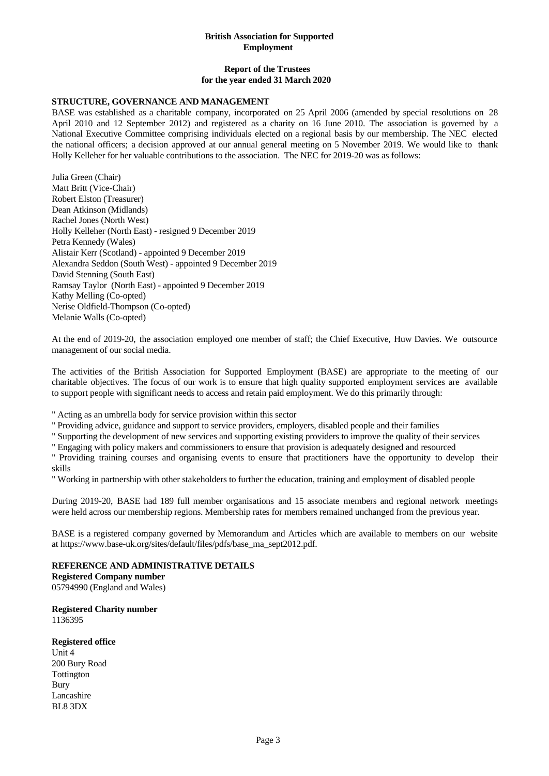### **Report of the Trustees for the year ended 31 March 2020**

#### **STRUCTURE, GOVERNANCE AND MANAGEMENT**

BASE was established as a charitable company, incorporated on 25 April 2006 (amended by special resolutions on 28 April 2010 and 12 September 2012) and registered as a charity on 16 June 2010. The association is governed by a National Executive Committee comprising individuals elected on a regionalbasis by our membership. The NEC elected the national officers; a decision approved at our annual general meeting on 5 November 2019. We would like to thank Holly Kelleher for her valuable contributions to the association. The NEC for 2019-20 was as follows:

Julia Green (Chair) Matt Britt (Vice-Chair) Robert Elston (Treasurer) Dean Atkinson (Midlands) Rachel Jones (North West) Holly Kelleher (North East) - resigned 9 December 2019 Petra Kennedy (Wales) Alistair Kerr (Scotland) - appointed 9 December 2019 Alexandra Seddon (South West) - appointed 9 December 2019 David Stenning (South East) Ramsay Taylor (North East) - appointed 9 December 2019 Kathy Melling (Co-opted) Nerise Oldfield-Thompson (Co-opted) Melanie Walls (Co-opted)

At the end of 2019-20, the association employed one member of staff; the Chief Executive, Huw Davies. We outsource management of our social media.

The activities of the British Association for Supported Employment (BASE) are appropriate to the meeting of our charitable objectives. The focus of our work is to ensure that high quality supported employment services are available to support people with significant needs to access and retain paid employment. We do this primarily through:

" Acting as an umbrella body for service provision within this sector

" Providing advice, guidance and support to service providers, employers, disabled people and their families

" Supporting the development of new services and supporting existing providers to improve the quality of their services

" Engaging with policy makers and commissioners to ensure that provision is adequately designed and resourced

" Providing training courses and organising events to ensure that practitioners have the opportunity to develop their skills

" Working in partnership with other stakeholders to further the education, training and employment of disabled people

During 2019-20, BASE had 189 full member organisations and 15 associate members and regional network meetings were held across our membership regions. Membership rates for members remained unchanged from the previous year.

BASE is a registered company governed by Memorandum and Articles which are available to members on our website at https://www.base-uk.org/sites/default/files/pdfs/base\_ma\_sept2012.pdf.

#### **REFERENCE AND ADMINISTRATIVE DETAILS**

**Registered Company number**

05794990 (England and Wales)

**Registered Charity number** 1136395

#### **Registered office**

Unit 4 200 Bury Road Tottington Bury Lancashire BL8 3DX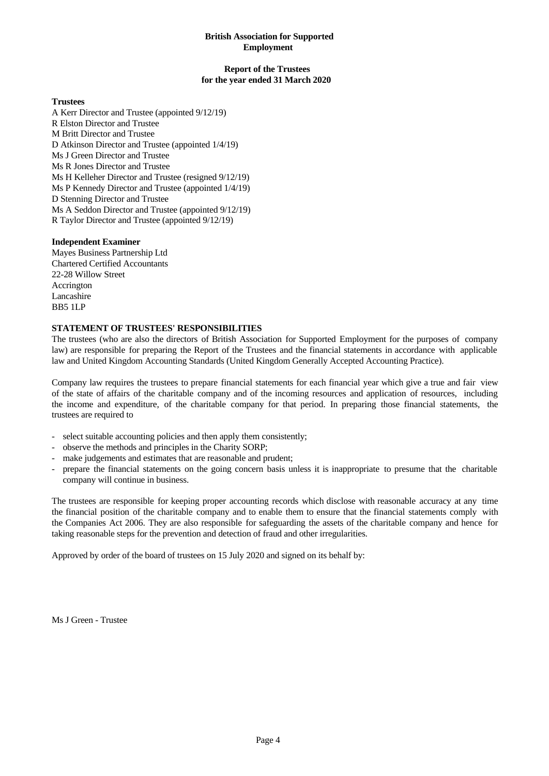#### **Report of the Trustees for the year ended 31 March 2020**

#### **Trustees**

A Kerr Director and Trustee (appointed 9/12/19) R Elston Director and Trustee M Britt Director and Trustee D Atkinson Director and Trustee (appointed 1/4/19) Ms J Green Director and Trustee Ms R Jones Director and Trustee Ms H Kelleher Director and Trustee (resigned 9/12/19) Ms P Kennedy Director and Trustee (appointed 1/4/19) D Stenning Director and Trustee Ms A Seddon Director and Trustee (appointed 9/12/19) R Taylor Director and Trustee (appointed 9/12/19)

#### **Independent Examiner**

Mayes Business Partnership Ltd Chartered Certified Accountants 22-28 Willow Street Accrington Lancashire BB5 1LP

# **STATEMENT OF TRUSTEES' RESPONSIBILITIES**

The trustees (who are also the directors of British Association for Supported Employment for the purposes of company law) are responsible for preparing the Report of the Trustees and the financial statements in accordance with applicable law and United Kingdom Accounting Standards (United Kingdom Generally Accepted Accounting Practice).

Company law requires the trustees to prepare financial statements for each financial year which give a true and fair view of the state of affairs of the charitable company and of the incoming resources and application of resources, including the income and expenditure, of the charitable company for that period. In preparing those financial statements, the 12.4 trustees are required to<br>
13.4 trustees are required to<br>
24.5 elect suitable accounting policies and then apply them consistently;<br>
24.5 observe the methods and principles in the Charity SORP;<br>
24.5 make judgements an

- 
- 
- 
- company will continue in business.

The trustees are responsible for keeping proper accounting records which disclose with reasonable accuracy at any time the financial position of the charitable company and to enable them to ensure that the financial statements comply with the Companies Act 2006. They are also responsible for safeguarding the assets of the charitable company and hence for taking reasonable steps for the prevention and detection of fraud and other irregularities.

Approved by order of the board of trustees on 15 July 2020 and signed on its behalf by:

Ms J Green - Trustee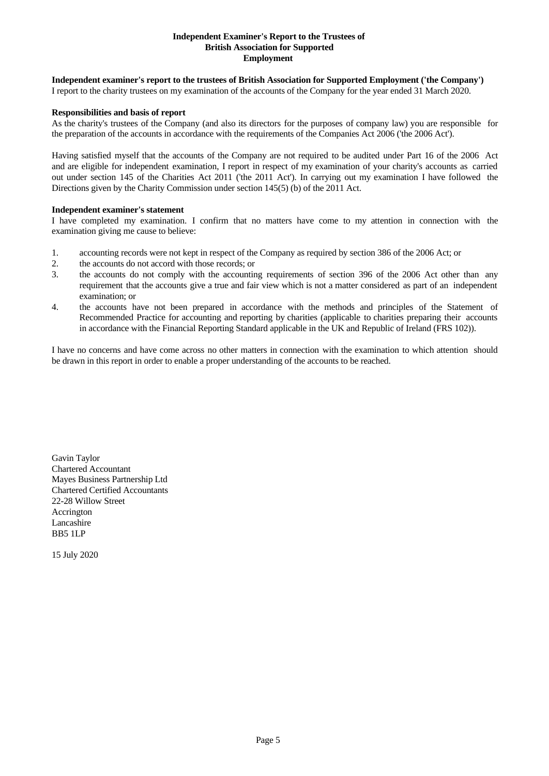#### **Independent Examiner's Report to the Trustees of British Association for Supported Employment**

# **Independent examiner's report to the trustees of British Association for Supported Employment ('the Company')**

I report to the charity trustees on my examination of the accounts of the Company for the year ended 31 March 2020.

#### **Responsibilities and basis of report**

As the charity's trustees of the Company (and also its directors for the purposes of company law) you are responsible for the preparation of the accounts in accordance with the requirements of the Companies Act 2006 ('the 2006 Act').

Having satisfied myself that the accounts of the Company are not required to be audited under Part 16 of the 2006 Act and are eligible for independent examination, I report in respect of my examination of your charity's accounts as carried out under section 145 of the Charities Act 2011 ('the 2011 Act'). In carrying out my examination I have followed the Directions given by the Charity Commission under section 145(5) (b) of the 2011 Act.

#### **Independent examiner's statement**

I have completed my examination. I confirm that no matters have come to my attention in connection with the examination giving me cause to believe:

- 1. accounting records were not kept in respect of the Company as required by section 386 of the 2006 Act; or
- 2. the accounts do not accord with those records; or
- 3. the accounts do not comply with the accounting requirements of section 396 ofthe 2006 Act other than any requirement that the accounts give a true and fair view which is not a matter considered as part of an independent examination; or
- 4. the accounts have not been prepared in accordance with the methods and principles of the Statement of Recommended Practice for accounting and reporting by charities (applicable to charities preparing their accounts in accordance with the Financial Reporting Standard applicable in the UK and Republic of Ireland (FRS 102)).

I have no concerns and have come across no other matters in connection with the examination to which attention should be drawn in this report in order to enable a proper understanding of the accounts to be reached.

Gavin Taylor Chartered Accountant Mayes Business Partnership Ltd Chartered Certified Accountants 22-28 Willow Street Accrington Lancashire BB5 1LP

15 July 2020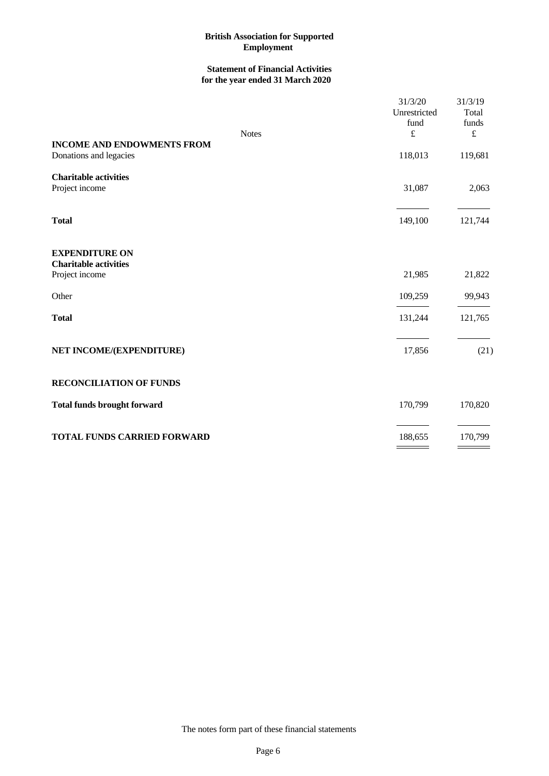# **Statement of Financial Activities for the year ended 31 March 2020**

| <b>Notes</b>                                                            | 31/3/20<br>Unrestricted<br>fund<br>$\pounds$ | 31/3/19<br>Total<br>funds<br>$\pounds$ |
|-------------------------------------------------------------------------|----------------------------------------------|----------------------------------------|
| <b>INCOME AND ENDOWMENTS FROM</b><br>Donations and legacies             | 118,013                                      | 119,681                                |
| <b>Charitable activities</b><br>Project income                          | 31,087                                       | 2,063                                  |
| <b>Total</b>                                                            | 149,100                                      | 121,744                                |
| <b>EXPENDITURE ON</b><br><b>Charitable activities</b><br>Project income | 21,985                                       | 21,822                                 |
| Other                                                                   | 109,259                                      | 99,943                                 |
| <b>Total</b>                                                            | 131,244                                      | 121,765                                |
| NET INCOME/(EXPENDITURE)                                                | 17,856                                       | (21)                                   |
| <b>RECONCILIATION OF FUNDS</b>                                          |                                              |                                        |
| <b>Total funds brought forward</b>                                      | 170,799                                      | 170,820                                |
| <b>TOTAL FUNDS CARRIED FORWARD</b>                                      | 188,655                                      | 170,799                                |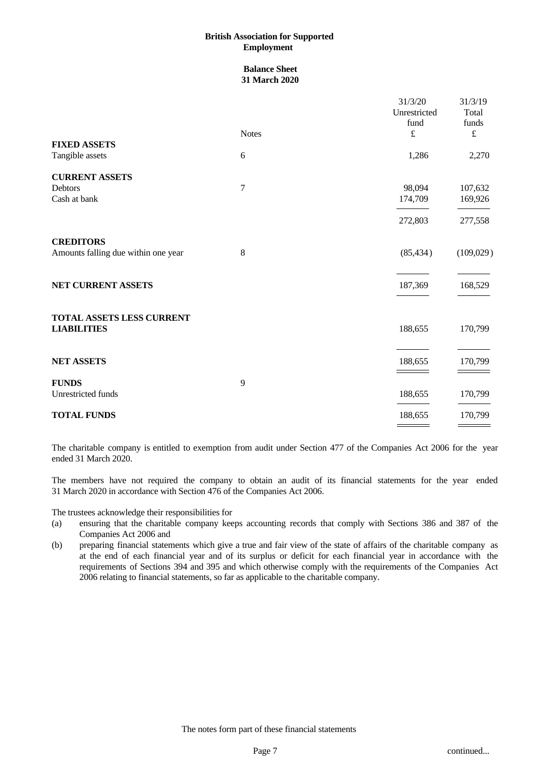#### **Balance Sheet 31 March 2020**

|                                                         |              | 31/3/20<br>Unrestricted | 31/3/19<br>Total   |
|---------------------------------------------------------|--------------|-------------------------|--------------------|
|                                                         | <b>Notes</b> | fund<br>$\pounds$       | funds<br>$\pounds$ |
| <b>FIXED ASSETS</b><br>Tangible assets                  | 6            | 1,286                   | 2,270              |
| <b>CURRENT ASSETS</b><br>Debtors<br>Cash at bank        | $\tau$       | 98,094<br>174,709       | 107,632<br>169,926 |
|                                                         |              | 272,803                 | 277,558            |
| <b>CREDITORS</b><br>Amounts falling due within one year | 8            | (85, 434)               | (109,029)          |
| NET CURRENT ASSETS                                      |              | 187,369                 | 168,529            |
| TOTAL ASSETS LESS CURRENT<br><b>LIABILITIES</b>         |              | 188,655                 | 170,799            |
| <b>NET ASSETS</b>                                       |              | 188,655                 | 170,799            |
| <b>FUNDS</b><br>Unrestricted funds                      | 9            | 188,655                 | 170,799            |
| <b>TOTAL FUNDS</b>                                      |              | 188,655                 | 170,799            |

The charitable company is entitled to exemption from audit under Section 477 of the Companies Act 2006 for the year ended 31 March 2020.

The members have not required the company to obtain an audit of its financial statements for the year ended 31 March 2020 in accordance with Section 476 of the Companies Act 2006.

The trustees acknowledge their responsibilities for

- (a) ensuring that the charitable company keeps accounting records that comply with Sections 386 and 387 of the Companies Act 2006 and
- (b) preparing financial statements which give a true and fair view of the state of affairs of the charitable company as at the end of each financial year and of its surplus or deficit for each financial year in accordance with the requirements of Sections 394 and 395 and which otherwise comply with the requirements of the Companies Act 2006 relating to financial statements, so far as applicable to the charitable company.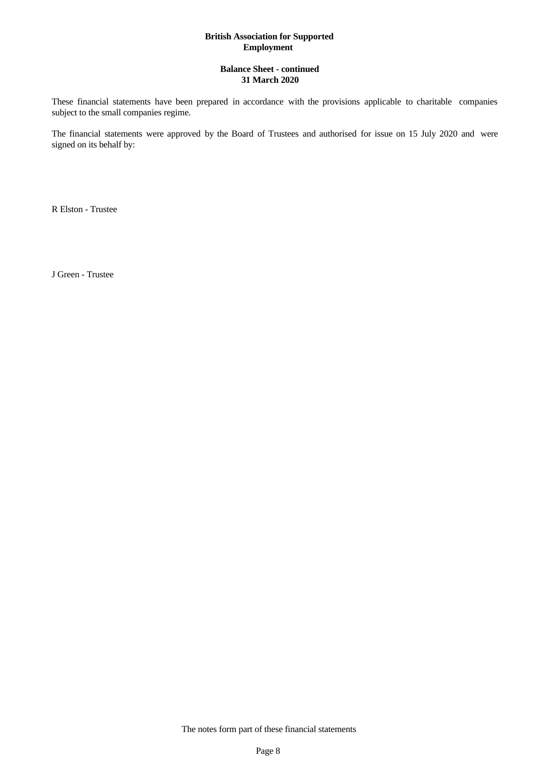#### **Balance Sheet - continued 31 March 2020**

These financial statements have been prepared in accordance with the provisions applicable to charitable companies subject to the small companies regime.

The financial statements were approved by the Board of Trustees and authorised for issue on 15 July 2020 and were signed on its behalf by:

R Elston - Trustee

J Green - Trustee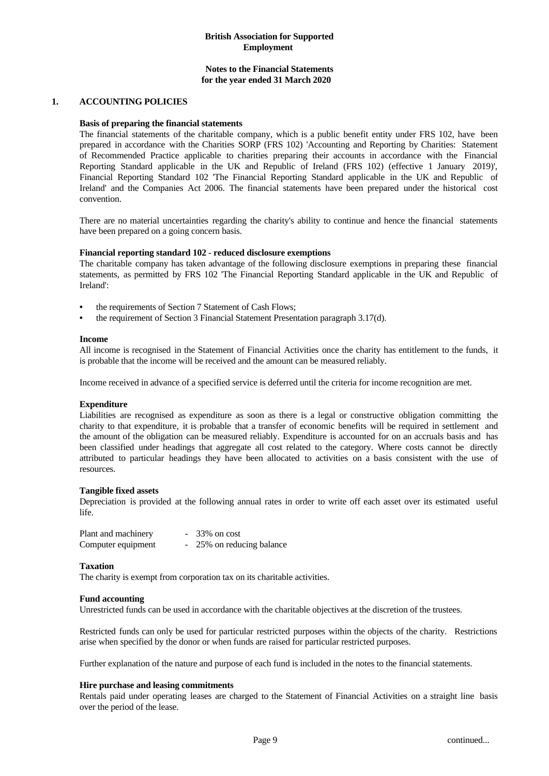#### **Notes to the Financial Statements for the year ended 31 March 2020**

#### **1. ACCOUNTING POLICIES**

#### **Basis of preparing the financial statements**

The financial statements of the charitable company, which is a public benefit entity under FRS 102, have been prepared in accordance with the Charities SORP (FRS 102) 'Accounting and Reporting by Charities: Statement of Recommended Practice applicable to charities preparing their accounts in accordance with the Financial Reporting Standard applicable in the UK and Republic of Ireland (FRS 102) (effective 1 January 2019)', Financial Reporting Standard 102 'The Financial Reporting Standard applicable in the UK and Republic of Ireland' and the Companies Act 2006. The financial statements have been prepared under the historical cost convention.

There are no material uncertainties regarding the charity's ability to continue and hence the financial statements have been prepared on a going concern basis.

#### **Financial reporting standard 102 - reduced disclosure exemptions**

The charitable company has taken advantage of the following disclosure exemptions in preparing these financial statements, as permitted by FRS 102 'The Financial Reporting Standard applicable in the UK and Republic of Ireland':

- the requirements of Section 7 Statement of Cash Flows;
- the requirement of Section 3 Financial Statement Presentation paragraph 3.17(d).

#### **Income**

All income is recognised in the Statement of Financial Activities once the charity has entitlement to the funds, it is probable that the income will be received and the amount can be measured reliably.

Income received in advance of a specified service is deferred until the criteria for income recognition are met.

#### **Expenditure**

Liabilities are recognised as expenditure as soon as there is a legal or constructive obligation committing the charity to that expenditure, it is probable that a transfer of economic benefits will be required in settlement and the amount of the obligation can be measured reliably. Expenditure is accounted for on an accruals basis and has been classified under headings that aggregate all cost related to the category. Where costs cannot be directly attributed to particular headings they have been allocated to activities on a basis consistent with the use of resources.

#### **Tangible fixed assets**

Depreciation is provided at the following annual rates in order to write off each asset over its estimated useful life.

| Plant and machinery | $-33\%$ on cost           |
|---------------------|---------------------------|
| Computer equipment  | - 25% on reducing balance |

#### **Taxation**

The charity is exempt from corporation tax on its charitable activities.

#### **Fund accounting**

Unrestricted funds can be used in accordance with the charitable objectives at the discretion of the trustees.

Restricted funds can only be used for particular restricted purposes within the objects of the charity. Restrictions arise when specified by the donor or when funds are raised for particular restricted purposes.

Further explanation of the nature and purpose of each fund is included in the notes to the financial statements.

#### **Hire purchase and leasing commitments**

Rentals paid under operating leases are charged to the Statement of Financial Activities on a straight line basis over the period of the lease.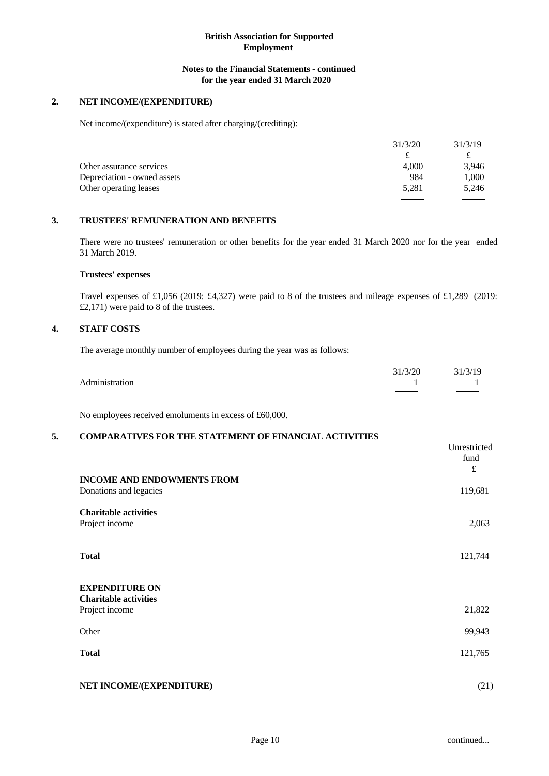#### **Notes to the Financial Statements - continued for the year ended 31 March 2020**

## **2. NET INCOME/(EXPENDITURE)**

Net income/(expenditure) is stated after charging/(crediting):

|                             | 31/3/20           | 31/3/19 |  |
|-----------------------------|-------------------|---------|--|
|                             |                   | ىم      |  |
| Other assurance services    | 4.000             | 3,946   |  |
| Depreciation - owned assets | 984               | 1,000   |  |
| Other operating leases      | 5,281             | 5,246   |  |
|                             | $\equiv$ $\equiv$ |         |  |

#### **3. TRUSTEES' REMUNERATION AND BENEFITS**

There were no trustees' remuneration or other benefits for the year ended 31 March 2020 nor for the year ended 31 March 2019.

#### **Trustees' expenses**

Travel expenses of £1,056 (2019: £4,327) were paid to 8 of the trustees and mileage expenses of £1,289 (2019: £2,171) were paid to 8 of the trustees.

#### **4. STAFF COSTS**

The average monthly number of employees during the year was as follows:

|                | (3/2) | 31/3/19 |  |
|----------------|-------|---------|--|
| Administration |       |         |  |
|                | ===   | _______ |  |

No employees received emoluments in excess of £60,000.

# **5. COMPARATIVES FOR THE STATEMENT OF FINANCIAL ACTIVITIES**

|                                                             | Unrestricted<br>fund<br>$\pounds$ |
|-------------------------------------------------------------|-----------------------------------|
| <b>INCOME AND ENDOWMENTS FROM</b><br>Donations and legacies | 119,681                           |
| <b>Charitable activities</b><br>Project income              | 2,063                             |
| <b>Total</b>                                                | 121,744                           |
| <b>EXPENDITURE ON</b><br><b>Charitable activities</b>       |                                   |
| Project income                                              | 21,822                            |
| Other                                                       | 99,943                            |
| <b>Total</b>                                                | 121,765                           |
| NET INCOME/(EXPENDITURE)                                    | (21)                              |
|                                                             |                                   |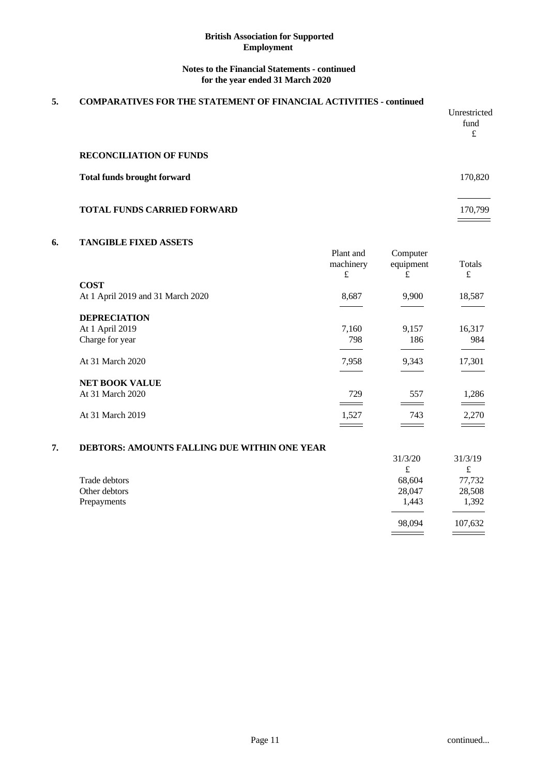#### **Notes to the Financial Statements - continued for the year ended 31 March 2020**

# **5. COMPARATIVES FOR THE STATEMENT OF FINANCIAL ACTIVITIES - continued**  Unrestricted fund  $f(x)$ **RECONCILIATION OF FUNDS Total funds brought forward** 170,820 **TOTAL FUNDS CARRIED FORWARD** 170,799

#### **6. TANGIBLE FIXED ASSETS**

|                                   | Plant and<br>machinery<br>£ | Computer<br>equipment<br>£                                                                                              | Totals<br>£ |  |
|-----------------------------------|-----------------------------|-------------------------------------------------------------------------------------------------------------------------|-------------|--|
| <b>COST</b>                       |                             |                                                                                                                         |             |  |
| At 1 April 2019 and 31 March 2020 | 8,687                       | 9,900                                                                                                                   | 18,587      |  |
| <b>DEPRECIATION</b>               |                             |                                                                                                                         |             |  |
| At 1 April 2019                   | 7,160                       | 9,157                                                                                                                   | 16,317      |  |
| Charge for year                   | 798                         | 186                                                                                                                     | 984         |  |
| At 31 March 2020                  | 7,958                       | 9,343                                                                                                                   | 17,301      |  |
| <b>NET BOOK VALUE</b>             |                             |                                                                                                                         |             |  |
| At 31 March 2020                  | 729                         | 557                                                                                                                     | 1,286       |  |
|                                   |                             |                                                                                                                         |             |  |
| At 31 March 2019                  | 1,527                       | 743                                                                                                                     | 2,270       |  |
|                                   | ____                        | <u> The Company of the Company of the Company of the Company of the Company of the Company of the Company of the Co</u> |             |  |

#### **7. DEBTORS: AMOUNTS FALLING DUE WITHIN ONE YEAR**

|               | 31/3/20            | 31/3/19 |  |
|---------------|--------------------|---------|--|
|               | $\mathbf{f}$<br>ىم | ىد      |  |
| Trade debtors | 68,604             | 77,732  |  |
| Other debtors | 28,047             | 28,508  |  |
| Prepayments   | 1,443              | 1,392   |  |
|               |                    |         |  |
|               | 98,094             | 107,632 |  |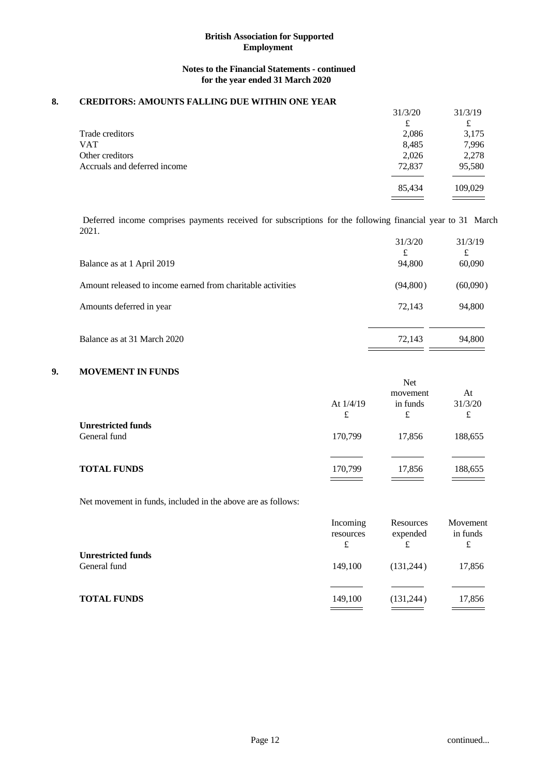# **Notes to the Financial Statements - continued for the year ended 31 March 2020**

#### **8. CREDITORS: AMOUNTS FALLING DUE WITHIN ONE YEAR**

|                              | 31/3/20 | 31/3/19 |
|------------------------------|---------|---------|
|                              | £       | £       |
| Trade creditors              | 2,086   | 3,175   |
| VAT                          | 8,485   | 7,996   |
| Other creditors              | 2,026   | 2,278   |
| Accruals and deferred income | 72,837  | 95,580  |
|                              | 85,434  | 109,029 |
|                              |         |         |

Deferred income comprises payments received for subscriptions for the following financial year to 31 March 2021.

| 94,800<br>60,090<br>(94,800)<br>(60,090)<br>72.143<br>94,800<br>72,143<br>Balance as at 31 March 2020<br>94,800 |                                                             | 31/3/20<br>£ | 31/3/19 |  |
|-----------------------------------------------------------------------------------------------------------------|-------------------------------------------------------------|--------------|---------|--|
|                                                                                                                 | Balance as at 1 April 2019                                  |              |         |  |
|                                                                                                                 | Amount released to income earned from charitable activities |              |         |  |
|                                                                                                                 | Amounts deferred in year                                    |              |         |  |
|                                                                                                                 |                                                             |              |         |  |
|                                                                                                                 |                                                             |              |         |  |

## **9. MOVEMENT IN FUNDS**

Net movement in funds, included in the above are as follows:

|                                           | Incoming<br>resources<br>£ | Resources<br>expended | Movement<br>in funds<br>£ |  |
|-------------------------------------------|----------------------------|-----------------------|---------------------------|--|
| <b>Unrestricted funds</b><br>General fund | 149.100                    | (131, 244)            | 17,856                    |  |
| <b>TOTAL FUNDS</b>                        | 149,100                    | (131, 244)            | 17,856                    |  |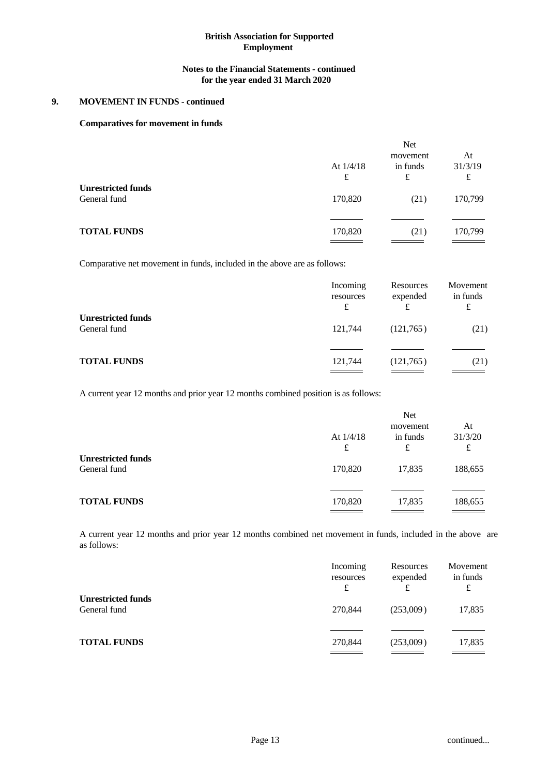#### **Notes to the Financial Statements - continued for the year ended 31 March 2020**

# **9. MOVEMENT IN FUNDS - continued**

#### **Comparatives for movement in funds**

| <b>Net</b>       |                           |                    |
|------------------|---------------------------|--------------------|
| At $1/4/18$<br>£ | movement<br>in funds<br>£ | At<br>31/3/19<br>£ |
| 170,820          | (21)                      | 170,799            |
| 170,820          | (21)                      | 170,799            |
|                  |                           |                    |

Comparative net movement in funds, included in the above are as follows:

|                                           | Incoming<br>resources<br>£ | Resources<br>expended<br>£ | Movement<br>in funds<br>£ |  |
|-------------------------------------------|----------------------------|----------------------------|---------------------------|--|
| <b>Unrestricted funds</b><br>General fund | 121,744                    | (121,765)                  | (21)                      |  |
| <b>TOTAL FUNDS</b>                        | 121,744                    | (121,765)<br>_______       | (21)                      |  |

A current year 12 months and prior year 12 months combined position is as follows:

|                                           | At $1/4/18$<br>£ | Net<br>movement<br>in funds<br>£ | At<br>31/3/20<br>£ |
|-------------------------------------------|------------------|----------------------------------|--------------------|
| <b>Unrestricted funds</b><br>General fund | 170,820          | 17,835                           | 188,655            |
| <b>TOTAL FUNDS</b>                        | 170,820          | 17,835                           | 188,655            |

A current year 12 months and prior year 12 months combined net movement in funds, included in the above are as follows:

|                                           | Incoming<br>resources<br>£ | Resources<br>expended<br>£ | Movement<br>in funds<br>£ |  |
|-------------------------------------------|----------------------------|----------------------------|---------------------------|--|
| <b>Unrestricted funds</b><br>General fund | 270,844                    | (253,009)                  | 17,835                    |  |
| <b>TOTAL FUNDS</b>                        | 270,844                    | (253,009)                  | 17,835                    |  |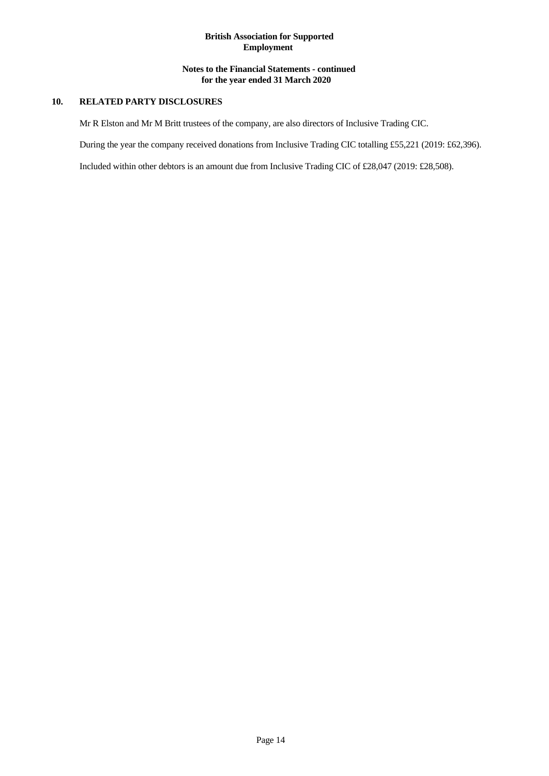# **Notes to the Financial Statements - continued for the year ended 31 March 2020**

# **10. RELATED PARTY DISCLOSURES**

Mr R Elston and Mr M Britt trustees of the company, are also directors of Inclusive Trading CIC.

During the year the company received donations from Inclusive Trading CIC totalling £55,221 (2019: £62,396).

Included within other debtors is an amount due from Inclusive Trading CIC of £28,047 (2019: £28,508).